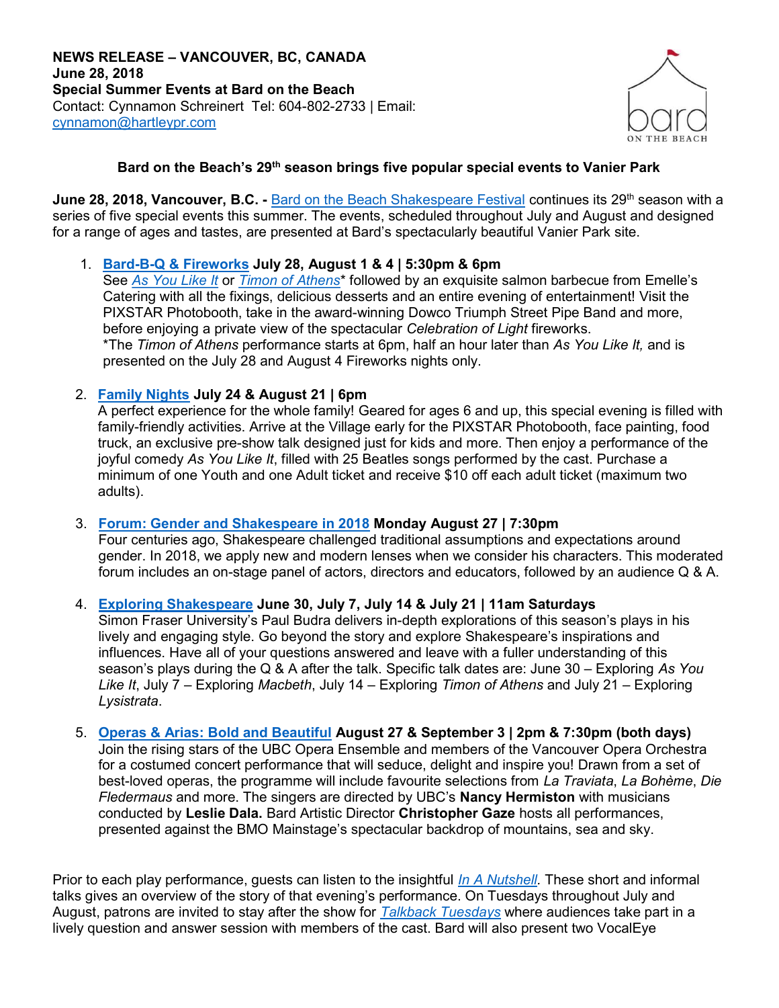

# Bard on the Beach's 29<sup>th</sup> season brings five popular special events to Vanier Park

June 28, 2018, Vancouver, B.C. - Bard on the Beach Shakespeare Festival continues its 29<sup>th</sup> season with a series of five special events this summer. The events, scheduled throughout July and August and designed for a range of ages and tastes, are presented at Bard's spectacularly beautiful Vanier Park site.

## 1. Bard-B-Q & Fireworks July 28, August 1 & 4 | 5:30pm & 6pm

See As You Like It or Timon of Athens<sup>\*</sup> followed by an exquisite salmon barbecue from Emelle's Catering with all the fixings, delicious desserts and an entire evening of entertainment! Visit the PIXSTAR Photobooth, take in the award-winning Dowco Triumph Street Pipe Band and more, before enjoying a private view of the spectacular Celebration of Light fireworks. \*The Timon of Athens performance starts at 6pm, half an hour later than As You Like It, and is presented on the July 28 and August 4 Fireworks nights only.

### 2. Family Nights July 24 & August 21 | 6pm

A perfect experience for the whole family! Geared for ages 6 and up, this special evening is filled with family-friendly activities. Arrive at the Village early for the PIXSTAR Photobooth, face painting, food truck, an exclusive pre-show talk designed just for kids and more. Then enjoy a performance of the joyful comedy As You Like It, filled with 25 Beatles songs performed by the cast. Purchase a minimum of one Youth and one Adult ticket and receive \$10 off each adult ticket (maximum two adults).

### 3. Forum: Gender and Shakespeare in 2018 Monday August 27 | 7:30pm

Four centuries ago, Shakespeare challenged traditional assumptions and expectations around gender. In 2018, we apply new and modern lenses when we consider his characters. This moderated forum includes an on-stage panel of actors, directors and educators, followed by an audience Q & A.

4. Exploring Shakespeare June 30, July 7, July 14 & July 21 | 11am Saturdays

Simon Fraser University's Paul Budra delivers in-depth explorations of this season's plays in his lively and engaging style. Go beyond the story and explore Shakespeare's inspirations and influences. Have all of your questions answered and leave with a fuller understanding of this season's plays during the Q & A after the talk. Specific talk dates are: June  $30 -$  Exploring As You Like It, July 7 – Exploring Macbeth, July 14 – Exploring Timon of Athens and July 21 – Exploring Lysistrata.

#### 5. Operas & Arias: Bold and Beautiful August 27 & September 3 | 2pm & 7:30pm (both days) Join the rising stars of the UBC Opera Ensemble and members of the Vancouver Opera Orchestra for a costumed concert performance that will seduce, delight and inspire you! Drawn from a set of best-loved operas, the programme will include favourite selections from La Traviata, La Bohème, Die Fledermaus and more. The singers are directed by UBC's Nancy Hermiston with musicians conducted by Leslie Dala. Bard Artistic Director Christopher Gaze hosts all performances, presented against the BMO Mainstage's spectacular backdrop of mountains, sea and sky.

Prior to each play performance, guests can listen to the insightful In A Nutshell. These short and informal talks gives an overview of the story of that evening's performance. On Tuesdays throughout July and August, patrons are invited to stay after the show for Talkback Tuesdays where audiences take part in a lively question and answer session with members of the cast. Bard will also present two VocalEye